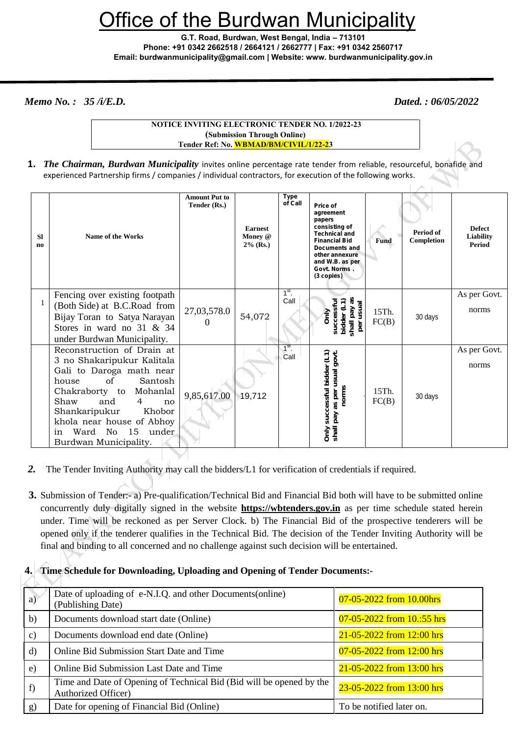# fice of the Burdwan Municipalitv

**G.T. Road, Burdwan, West Bengal, India – 713101 Phone: +91 0342 2662518 / 2664121 / 2662777 | Fax: +91 0342 2560717 Email: burdwanmunicipality@gmail.com | Website: www. burdwanmunicipality.gov.in**

*Memo No. : 35 /i/E.D. Dated. : 06/05/2022*

| <b>NOTICE INVITING ELECTRONIC TENDER NO. 1/2022-23</b> |                                        |  |  |
|--------------------------------------------------------|----------------------------------------|--|--|
| (Submission Through Online)                            |                                        |  |  |
|                                                        | Tender Ref: No. WBMAD/BM/CIVIL/1/22-23 |  |  |

**1.** *The Chairman, Burdwan Municipality* invites online percentage rate tender from reliable, resourceful, bonafide and experienced Partnership firms / companies / individual contractors, for execution of the following works.

| <b>SI</b><br>n <sub>0</sub> | <b>Name of the Works</b>                                                                                                                                                                                                                                                                                | <b>Amount Put to</b><br>Tender (Rs.) | <b>Earnest</b><br>Money @<br>$2\%$ (Rs.) | <b>Type</b><br>of Call | Price of<br>agreement<br>papers<br>consisting of<br><b>Technical and</b><br><b>Financial Bid</b><br><b>Documents and</b><br>other annexure<br>and W.B. as per<br>Govt. Norms.<br>(3 copies) | <b>Fund</b>    | Period of<br>Completion | <b>Defect</b><br>Liability<br><b>Period</b> |
|-----------------------------|---------------------------------------------------------------------------------------------------------------------------------------------------------------------------------------------------------------------------------------------------------------------------------------------------------|--------------------------------------|------------------------------------------|------------------------|---------------------------------------------------------------------------------------------------------------------------------------------------------------------------------------------|----------------|-------------------------|---------------------------------------------|
|                             | Fencing over existing footpath<br>(Both Side) at B.C.Road from<br>Bijay Toran to Satya Narayan<br>Stores in ward no $31 \& 34$<br>under Burdwan Municipality.                                                                                                                                           | 27,03,578.0<br>$\theta$              | 54,072                                   | $1st$ .<br>Call        | shall pay as<br>per usual<br>bidder (L<br>successf<br><b>Only</b>                                                                                                                           | 15Th.<br>FC(B) | 30 days                 | As per Govt.<br>norms                       |
|                             | Reconstruction of Drain at<br>3 no Shakaripukur Kalitala<br>Gali to Daroga math near<br>of<br>Santosh<br>house<br>Chakraborty to<br>Mohanlal<br>Shaw<br>and<br>$\overline{4}$<br>no<br>Shankaripukur<br>Khobor<br>khola near house of Abhoy<br>Ward<br>15<br>No<br>under<br>in<br>Burdwan Municipality. | 9,85,617.00                          | 19,712                                   | $1st$ .<br>Call        | Only successful bidder (L1)<br>shail pay as per usual govt.<br>norms                                                                                                                        | 15Th.<br>FC(B) | 30 days                 | As per Govt.<br>norms                       |

- *2.* The Tender Inviting Authority may call the bidders/L1 for verification of credentials if required.
- **3.** Submission of Tender:- a) Pre-qualification/Technical Bid and Financial Bid both will have to be submitted online concurrently duly digitally signed in the website **https://wbtenders.gov.in** as per time schedule stated herein under. Time will be reckoned as per Server Clock. b) The Financial Bid of the prospective tenderers will be opened only if the tenderer qualifies in the Technical Bid. The decision of the Tender Inviting Authority will be final and binding to all concerned and no challenge against such decision will be entertained.

# **4. Time Schedule for Downloading, Uploading and Opening of Tender Documents:-**

| a)            | Date of uploading of e-N.I.Q. and other Documents (online)<br>(Publishing Date)             | 07-05-2022 from 10.00hrs      |  |  |
|---------------|---------------------------------------------------------------------------------------------|-------------------------------|--|--|
| $\mathbf{b}$  | Documents download start date (Online)                                                      | $07-05-2022$ from $10:55$ hrs |  |  |
| $\mathbf{c})$ | Documents download end date (Online)                                                        | 21-05-2022 from 12:00 hrs     |  |  |
| $\rm d$       | Online Bid Submission Start Date and Time                                                   | 07-05-2022 from 12:00 hrs     |  |  |
| e)            | Online Bid Submission Last Date and Time                                                    | 21-05-2022 from 13:00 hrs     |  |  |
| f             | Time and Date of Opening of Technical Bid (Bid will be opened by the<br>Authorized Officer) | 23-05-2022 from 13:00 hrs     |  |  |
| g)            | Date for opening of Financial Bid (Online)                                                  | To be notified later on.      |  |  |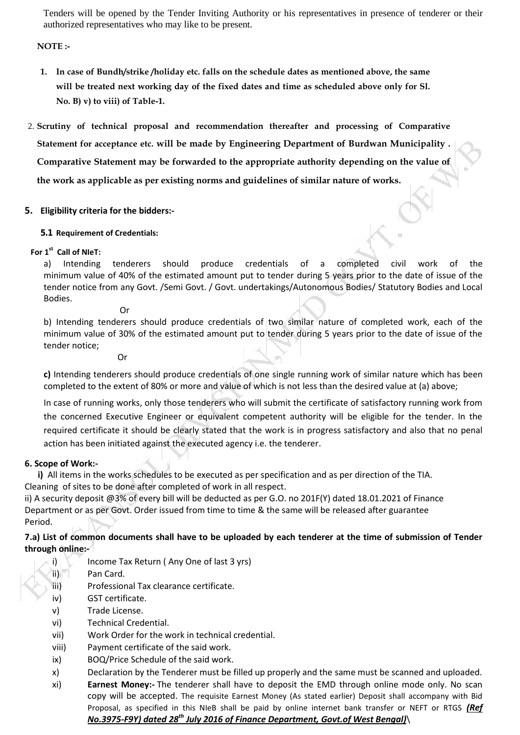Tenders will be opened by the Tender Inviting Authority or his representatives in presence of tenderer or their authorized representatives who may like to be present.

# **NOTE :-**

- **1. In case of Bundh/strike /holiday etc. falls on the schedule dates as mentioned above, the same will be treated next working day of the fixed dates and time as scheduled above only for Sl. No. B) v) to viii) of Table-1.**
- 2. **Scrutiny of technical proposal and recommendation thereafter and processing of Comparative Statement for acceptance etc. will be made by Engineering Department of Burdwan Municipality . Comparative Statement may be forwarded to the appropriate authority depending on the value of the work as applicable as per existing norms and guidelines of similar nature of works.**

# **5. Eligibility criteria for the bidders:-**

# **5.1 Requirement of Credentials:**

# **For 1 st Call of NIeT:**

a) Intending tenderers should produce credentials of a completed civil work of the minimum value of 40% of the estimated amount put to tender during 5 years prior to the date of issue of the tender notice from any Govt. /Semi Govt. / Govt. undertakings/Autonomous Bodies/ Statutory Bodies and Local Bodies.

Or

b) Intending tenderers should produce credentials of two similar nature of completed work, each of the minimum value of 30% of the estimated amount put to tender during 5 years prior to the date of issue of the tender notice;

Or

**c)** Intending tenderers should produce credentials of one single running work of similar nature which has been completed to the extent of 80% or more and value of which is not less than the desired value at (a) above;

In case of running works, only those tenderers who will submit the certificate of satisfactory running work from the concerned Executive Engineer or equivalent competent authority will be eligible for the tender. In the required certificate it should be clearly stated that the work is in progress satisfactory and also that no penal action has been initiated against the executed agency i.e. the tenderer.

# **6. Scope of Work:-**

**i)** All items in the works schedules to be executed as per specification and as per direction of the TIA. Cleaning of sites to be done after completed of work in all respect.

ii) A security deposit @3% of every bill will be deducted as per G.O. no 201F(Y) dated 18.01.2021 of Finance Department or as per Govt. Order issued from time to time & the same will be released after guarantee Period.

# **7.a) List of common documents shall have to be uploaded by each tenderer at the time of submission of Tender through online:-**

- i) Income Tax Return (Any One of last 3 yrs)
- ii) Pan Card.
- iii) Professional Tax clearance certificate.
- iv) GST certificate.
- v) Trade License.
- vi) Technical Credential.
- vii) Work Order for the work in technical credential.
- viii) Payment certificate of the said work.
- ix) BOQ/Price Schedule of the said work.
- x) Declaration by the Tenderer must be filled up properly and the same must be scanned and uploaded.
- xi) **Earnest Money:-** The tenderer shall have to deposit the EMD through online mode only. No scan copy will be accepted. The requisite Earnest Money (As stated earlier) Deposit shall accompany with Bid Proposal, as specified in this NIeB shall be paid by online internet bank transfer or NEFT or RTGS *(Ref No.3975-F9Y) dated 28th July 2016 of Finance Department, Govt.of West Bengal)*\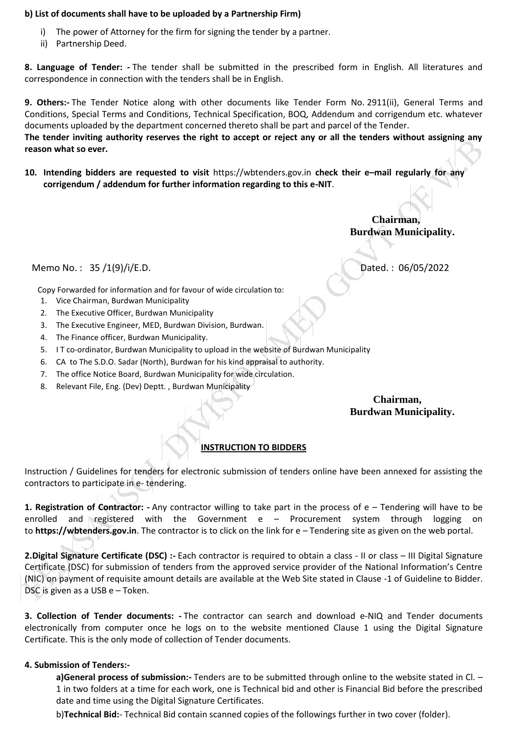#### **b) List of documents shall have to be uploaded by a Partnership Firm)**

- The power of Attorney for the firm for signing the tender by a partner.
- ii) Partnership Deed.

**8. Language of Tender: -** The tender shall be submitted in the prescribed form in English. All literatures and correspondence in connection with the tenders shall be in English.

**9. Others:-** The Tender Notice along with other documents like Tender Form No. 2911(ii), General Terms and Conditions, Special Terms and Conditions, Technical Specification, BOQ, Addendum and corrigendum etc. whatever documents uploaded by the department concerned thereto shall be part and parcel of the Tender. **The tender inviting authority reserves the right to accept or reject any or all the tenders without assigning any reason what so ever.**

**10. Intending bidders are requested to visit** https://wbtenders.gov.in **check their e–mail regularly for any corrigendum / addendum for further information regarding to this e-NIT**.

> **Chairman, Burdwan Municipality.**

Memo No.: 35 /1(9)/i/E.D. Dated. : 06/05/2022

Copy Forwarded for information and for favour of wide circulation to:

- 1. Vice Chairman, Burdwan Municipality
- 2. The Executive Officer, Burdwan Municipality
- 3. The Executive Engineer, MED, Burdwan Division, Burdwan.
- 4. The Finance officer, Burdwan Municipality.
- 5. I T co-ordinator, Burdwan Municipality to upload in the website of Burdwan Municipality
- 6. CA to The S.D.O. Sadar (North), Burdwan for his kind appraisal to authority.
- 7. The office Notice Board, Burdwan Municipality for wide circulation.
- 8. Relevant File, Eng. (Dev) Deptt. , Burdwan Municipality

**Chairman, Burdwan Municipality.**

# **INSTRUCTION TO BIDDERS**

Instruction / Guidelines for tenders for electronic submission of tenders online have been annexed for assisting the contractors to participate in e- tendering.

**1. Registration of Contractor: -** Any contractor willing to take part in the process of e – Tendering will have to be enrolled and registered with the Government e – Procurement system through logging on to **https://wbtenders.gov.in**. The contractor is to click on the link for e – Tendering site as given on the web portal.

**2.Digital Signature Certificate (DSC) :-** Each contractor is required to obtain a class -II or class – III Digital Signature Certificate (DSC) for submission of tenders from the approved service provider of the National Information's Centre (NIC) on payment of requisite amount details are available at the Web Site stated in Clause -1 of Guideline to Bidder. DSC is given as a USB e – Token.

**3. Collection of Tender documents: -** The contractor can search and download e-NIQ and Tender documents electronically from computer once he logs on to the website mentioned Clause 1 using the Digital Signature Certificate. This is the only mode of collection of Tender documents.

#### **4. Submission of Tenders:-**

**a)General process of submission:-** Tenders are to be submitted through online to the website stated in Cl. – 1 in two folders at a time for each work, one is Technical bid and other is Financial Bid before the prescribed date and time using the Digital Signature Certificates.

b)**Technical Bid:**- Technical Bid contain scanned copies of the followings further in two cover (folder).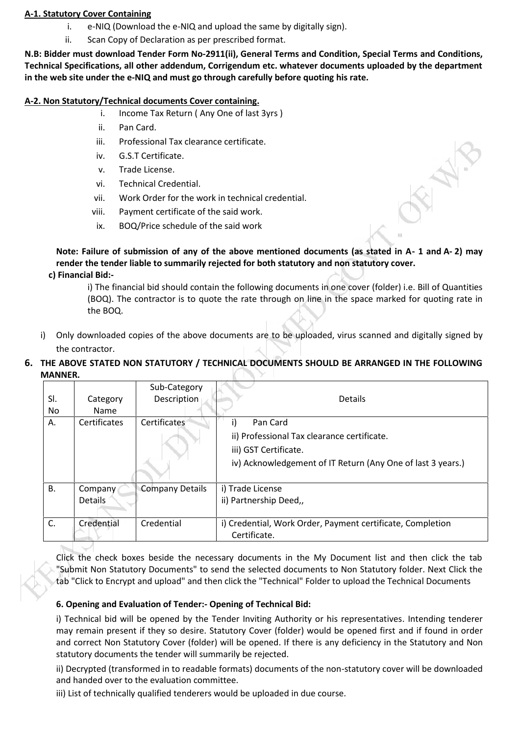# **A-1. Statutory Cover Containing**

- i. e-NIQ (Download the e-NIQ and upload the same by digitally sign).
- ii. Scan Copy of Declaration as per prescribed format.

**N.B: Bidder must download Tender Form No-2911(ii), General Terms and Condition, Special Terms and Conditions, Technical Specifications, all other addendum, Corrigendum etc. whatever documents uploaded by the department in the web site under the e-NIQ and must go through carefully before quoting his rate.**

# **A-2. Non Statutory/Technical documents Cover containing.**

- i. Income Tax Return ( Any One of last 3yrs )
- ii. Pan Card.
- iii. Professional Tax clearance certificate.
- iv. G.S.T Certificate.
- v. Trade License.
- vi. Technical Credential.
- vii. Work Order for the work in technical credential.
- viii. Payment certificate of the said work.
- ix. BOQ/Price schedule of the said work

# **Note: Failure of submission of any of the above mentioned documents (as stated in A- 1 and A- 2) may render the tender liable to summarily rejected for both statutory and non statutory cover.**

**c) Financial Bid:-**

i) The financial bid should contain the following documents in one cover (folder) i.e. Bill of Quantities (BOQ). The contractor is to quote the rate through on line in the space marked for quoting rate in the BOQ.

- i) Only downloaded copies of the above documents are to be uploaded, virus scanned and digitally signed by the contractor.
- **6. THE ABOVE STATED NON STATUTORY / TECHNICAL DOCUMENTS SHOULD BE ARRANGED IN THE FOLLOWING MANNER.**

|           |                | Sub-Category           |                                                             |
|-----------|----------------|------------------------|-------------------------------------------------------------|
| SI.       | Category       | Description            | <b>Details</b>                                              |
| No.       | <b>Name</b>    |                        |                                                             |
| А.        | Certificates   | Certificates           | Pan Card<br>i)                                              |
|           |                |                        | ii) Professional Tax clearance certificate.                 |
|           |                |                        | iii) GST Certificate.                                       |
|           |                |                        | iv) Acknowledgement of IT Return (Any One of last 3 years.) |
| <b>B.</b> | Company        | <b>Company Details</b> | i) Trade License                                            |
|           | <b>Details</b> |                        | ii) Partnership Deed,,                                      |
|           |                |                        |                                                             |
| C.        | Credential     | Credential             | i) Credential, Work Order, Payment certificate, Completion  |
|           |                |                        | Certificate.                                                |

Click the check boxes beside the necessary documents in the My Document list and then click the tab "Submit Non Statutory Documents" to send the selected documents to Non Statutory folder. Next Click the tab "Click to Encrypt and upload" and then click the "Technical" Folder to upload the Technical Documents

# **6. Opening and Evaluation of Tender:- Opening of Technical Bid:**

i) Technical bid will be opened by the Tender Inviting Authority or his representatives. Intending tenderer may remain present if they so desire. Statutory Cover (folder) would be opened first and if found in order and correct Non Statutory Cover (folder) will be opened. If there is any deficiency in the Statutory and Non statutory documents the tender will summarily be rejected.

ii) Decrypted (transformed in to readable formats) documents of the non-statutory cover will be downloaded and handed over to the evaluation committee.

iii) List of technically qualified tenderers would be uploaded in due course.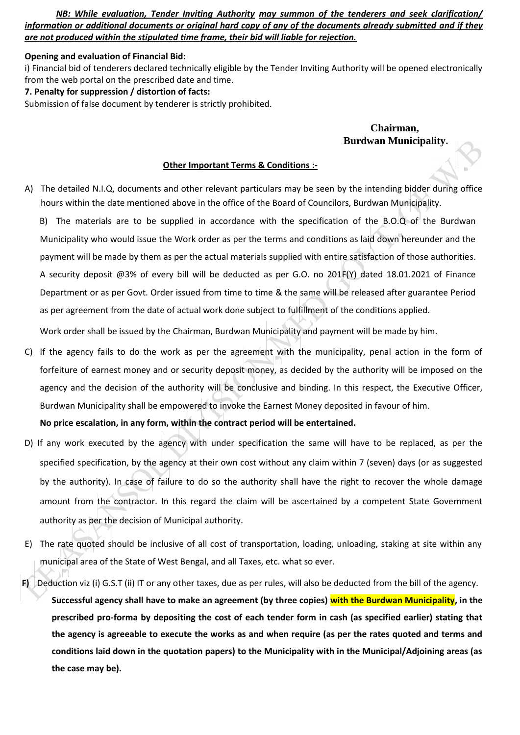*NB: While evaluation, Tender Inviting Authority may summon of the tenderers and seek clarification/ information or additional documents or original hard copy of any of the documents already submitted and if they are not produced within the stipulated time frame, their bid will liable for rejection.*

#### **Opening and evaluation of Financial Bid:**

i) Financial bid of tenderers declared technically eligible by the Tender Inviting Authority will be opened electronically from the web portal on the prescribed date and time.

#### **7. Penalty for suppression / distortion of facts:**

Submission of false document by tenderer is strictly prohibited.

# **Chairman, Burdwan Municipality.**

#### **Other Important Terms & Conditions :-**

A) The detailed N.I.Q, documents and other relevant particulars may be seen by the intending bidder during office hours within the date mentioned above in the office of the Board of Councilors, Burdwan Municipality.

B) The materials are to be supplied in accordance with the specification of the B.O.Q of the Burdwan Municipality who would issue the Work order as per the terms and conditions as laid down hereunder and the payment will be made by them as per the actual materials supplied with entire satisfaction of those authorities. A security deposit @3% of every bill will be deducted as per G.O. no 201F(Y) dated 18.01.2021 of Finance Department or as per Govt. Order issued from time to time & the same will be released after guarantee Period as per agreement from the date of actual work done subject to fulfillment of the conditions applied.

Work order shall be issued by the Chairman, Burdwan Municipality and payment will be made by him.

C) If the agency fails to do the work as per the agreement with the municipality, penal action in the form of forfeiture of earnest money and or security deposit money, as decided by the authority will be imposed on the agency and the decision of the authority will be conclusive and binding. In this respect, the Executive Officer, Burdwan Municipality shall be empowered to invoke the Earnest Money deposited in favour of him.

**No price escalation, in any form, within the contract period will be entertained.**

- D) If any work executed by the agency with under specification the same will have to be replaced, as per the specified specification, by the agency at their own cost without any claim within 7 (seven) days (or as suggested by the authority). In case of failure to do so the authority shall have the right to recover the whole damage amount from the contractor. In this regard the claim will be ascertained by a competent State Government authority as per the decision of Municipal authority.
- E) The rate quoted should be inclusive of all cost of transportation, loading, unloading, staking at site within any municipal area of the State of West Bengal, and all Taxes, etc. what so ever.
- **F)** Deduction viz (i) G.S.T (ii) IT or any other taxes, due as per rules, will also be deducted from the bill of the agency. **Successful agency shall have to make an agreement (by three copies) with the Burdwan Municipality, in the prescribed pro-forma by depositing the cost of each tender form in cash (as specified earlier) stating that the agency is agreeable to execute the works as and when require (as per the rates quoted and terms and conditions laid down in the quotation papers) to the Municipality with in the Municipal/Adjoining areas (as the case may be).**